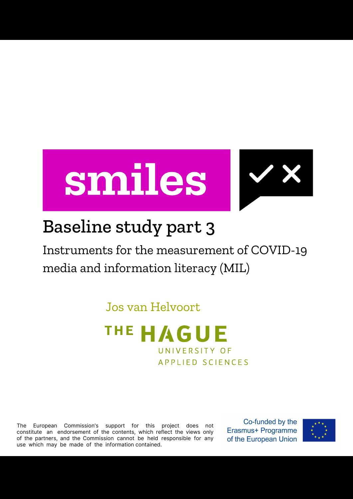



## Baseline study part 3

Instruments for the measurement of COVID-19 media and information literacy (MIL)

Jos van Helvoort



The European Commission's support for this project does not constitute an endorsement of the contents, which reflect the views only of the partners, and the Commission cannot be held responsible for any use which may be made of the information contained.

Co-funded by the Erasmus+ Programme of the European Union

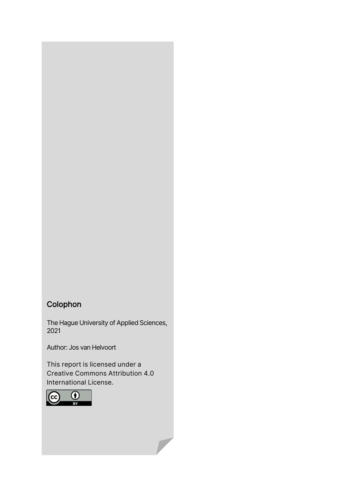### Colophon

The Hague University of Applied Sciences, 2021

Author: Jos van Helvoort

This report is licensed under a Creative Commons Attribution 4.0 International License.

 $\overline{\phantom{a}}$ 

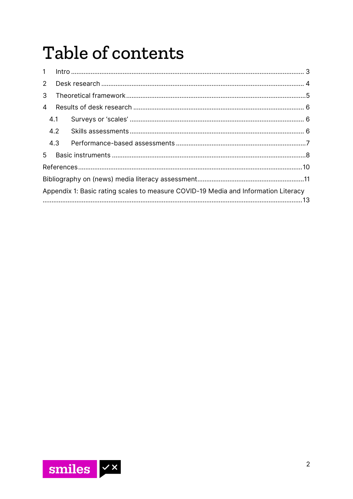# Table of contents

| $\mathbf{1}$                                                                       |     |  |  |  |  |
|------------------------------------------------------------------------------------|-----|--|--|--|--|
| $2^{\circ}$                                                                        |     |  |  |  |  |
| 3                                                                                  |     |  |  |  |  |
| 4                                                                                  |     |  |  |  |  |
|                                                                                    | 4.1 |  |  |  |  |
|                                                                                    | 4.2 |  |  |  |  |
|                                                                                    | 4.3 |  |  |  |  |
| 5                                                                                  |     |  |  |  |  |
|                                                                                    |     |  |  |  |  |
|                                                                                    |     |  |  |  |  |
| Appendix 1: Basic rating scales to measure COVID-19 Media and Information Literacy |     |  |  |  |  |
|                                                                                    |     |  |  |  |  |

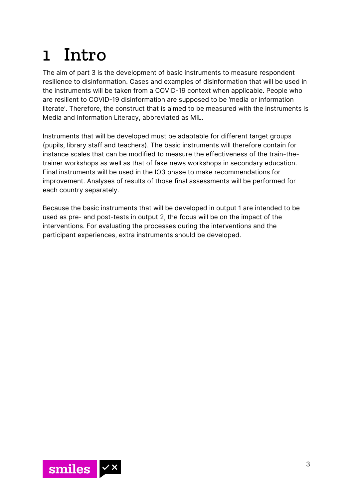## <span id="page-3-0"></span>1 Intro

The aim of part 3 is the development of basic instruments to measure respondent resilience to disinformation. Cases and examples of disinformation that will be used in the instruments will be taken from a COVID-19 context when applicable. People who are resilient to COVID-19 disinformation are supposed to be 'media or information literate'. Therefore, the construct that is aimed to be measured with the instruments is Media and Information Literacy, abbreviated as MIL.

Instruments that will be developed must be adaptable for different target groups (pupils, library staff and teachers). The basic instruments will therefore contain for instance scales that can be modified to measure the effectiveness of the train-thetrainer workshops as well as that of fake news workshops in secondary education. Final instruments will be used in the IO3 phase to make recommendations for improvement. Analyses of results of those final assessments will be performed for each country separately.

Because the basic instruments that will be developed in output 1 are intended to be used as pre- and post-tests in output 2, the focus will be on the impact of the interventions. For evaluating the processes during the interventions and the participant experiences, extra instruments should be developed.

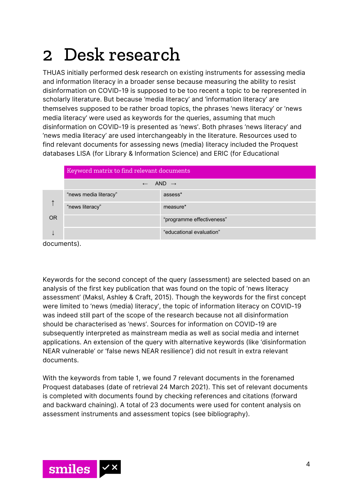## <span id="page-4-0"></span>2 Desk research

THUAS initially performed desk research on existing instruments for assessing media and information literacy in a broader sense because measuring the ability to resist disinformation on COVID-19 is supposed to be too recent a topic to be represented in scholarly literature. But because 'media literacy' and 'information literacy' are themselves supposed to be rather broad topics, the phrases 'news literacy' or 'news media literacy' were used as keywords for the queries, assuming that much disinformation on COVID-19 is presented as 'news'. Both phrases 'news literacy' and 'news media literacy' are used interchangeably in the literature. Resources used to find relevant documents for assessing news (media) literacy included the Proquest databases LISA (for Library & Information Science) and ERIC (for Educational

|             | Keyword matrix to find relevant documents |                           |  |  |
|-------------|-------------------------------------------|---------------------------|--|--|
|             | $\leftarrow$ AND $\rightarrow$            |                           |  |  |
|             | "news media literacy"                     | assess*                   |  |  |
|             | "news literacy"                           | measure*                  |  |  |
| <b>OR</b>   |                                           | "programme effectiveness" |  |  |
|             |                                           | "educational evaluation"  |  |  |
| documents). |                                           |                           |  |  |

Keywords for the second concept of the query (assessment) are selected based on an analysis of the first key publication that was found on the topic of 'news literacy assessment' (Maksl, Ashley & Craft, 2015). Though the keywords for the first concept were limited to 'news (media) literacy', the topic of information literacy on COVID-19 was indeed still part of the scope of the research because not all disinformation should be characterised as 'news'. Sources for information on COVID-19 are subsequently interpreted as mainstream media as well as social media and internet applications. An extension of the query with alternative keywords (like 'disinformation NEAR vulnerable' or 'false news NEAR resilience') did not result in extra relevant documents.

With the keywords from table 1, we found 7 relevant documents in the forenamed Proquest databases (date of retrieval 24 March 2021). This set of relevant documents is completed with documents found by checking references and citations (forward and backward chaining). A total of 23 documents were used for content analysis on assessment instruments and assessment topics (see bibliography).

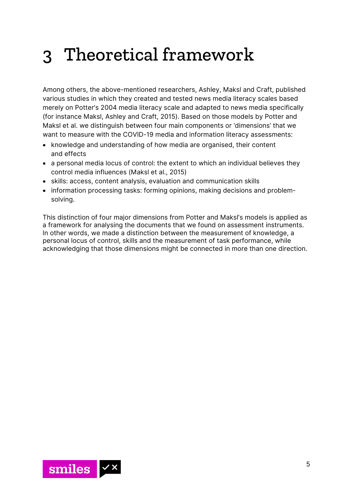## <span id="page-5-0"></span>3 Theoretical framework

Among others, the above-mentioned researchers, Ashley, Maksl and Craft, published various studies in which they created and tested news media literacy scales based merely on Potter's 2004 media literacy scale and adapted to news media specifically (for instance Maksl, Ashley and Craft, 2015). Based on those models by Potter and Maksl et al. we distinguish between four main components or 'dimensions' that we want to measure with the COVID-19 media and information literacy assessments:

- knowledge and understanding of how media are organised, their content and effects
- a personal media locus of control: the extent to which an individual believes they control media influences (Maksl et al., 2015)
- skills: access, content analysis, evaluation and communication skills
- information processing tasks: forming opinions, making decisions and problemsolving.

This distinction of four major dimensions from Potter and Maksl's models is applied as a framework for analysing the documents that we found on assessment instruments. In other words, we made a distinction between the measurement of knowledge, a personal locus of control, skills and the measurement of task performance, while acknowledging that those dimensions might be connected in more than one direction.

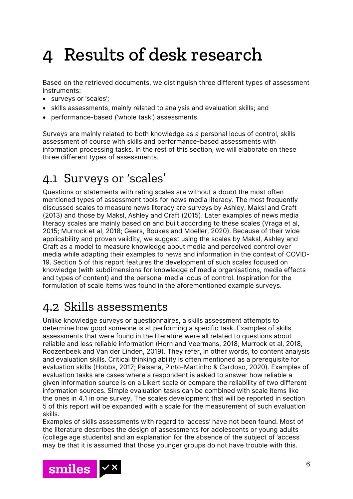## <span id="page-6-0"></span>4 Results of desk research

Based on the retrieved documents, we distinguish three different types of assessment instruments:

- surveys or 'scales';
- skills assessments, mainly related to analysis and evaluation skills; and
- performance-based ('whole task') assessments.

Surveys are mainly related to both knowledge as a personal locus of control, skills assessment of course with skills and performance-based assessments with information processing tasks. In the rest of this section, we will elaborate on these three different types of assessments.

### <span id="page-6-1"></span>4.1 Surveys or 'scales'

Questions or statements with rating scales are without a doubt the most often mentioned types of assessment tools for news media literacy. The most frequently discussed scales to measure news literacy are surveys by Ashley, Maksl and Craft (2013) and those by Maksl, Ashley and Craft (2015). Later examples of news media literacy scales are mainly based on and built according to these scales (Vraga et al, 2015; Murrock et al, 2018; Geers, Boukes and Moeller, 2020). Because of their wide applicability and proven validity, we suggest using the scales by Maksl, Ashley and Craft as a model to measure knowledge about media and perceived control over media while adapting their examples to news and information in the context of COVID-19. Section 5 of this report features the development of such scales focused on knowledge (with subdimensions for knowledge of media organisations, media effects and types of content) and the personal media locus of control. Inspiration for the formulation of scale items was found in the aforementioned example surveys.

### <span id="page-6-2"></span>4.2 Skills assessments

Unlike knowledge surveys or questionnaires, a skills assessment attempts to determine how good someone is at performing a specific task. Examples of skills assessments that were found in the literature were all related to questions about reliable and less reliable information (Horn and Veermans, 2018; Murrock et al, 2018; Roozenbeek and Van der Linden, 2019). They refer, in other words, to content analysis and evaluation skills. Critical thinking ability is often mentioned as a prerequisite for evaluation skills (Hobbs, 2017; Paisana, Pinto-Martinho & Cardoso, 2020). Examples of evaluation tasks are cases where a respondent is asked to answer how reliable a given information source is on a Likert scale or compare the reliability of two different information sources. Simple evaluation tasks can be combined with scale items like the ones in 4.1 in one survey. The scales development that will be reported in section 5 of this report will be expanded with a scale for the measurement of such evaluation skills.

Examples of skills assessments with regard to 'access' have not been found. Most of the literature describes the design of assessments for adolescents or young adults (college age students) and an explanation for the absence of the subject of 'access' may be that it is assumed that those younger groups do not have trouble with this.

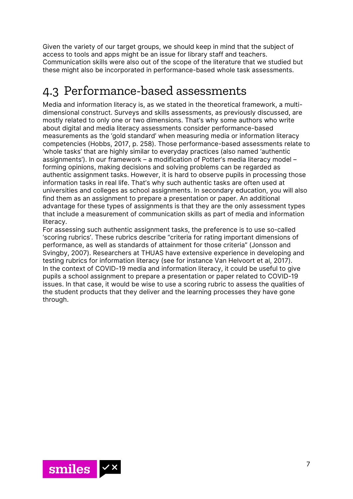Given the variety of our target groups, we should keep in mind that the subject of access to tools and apps might be an issue for library staff and teachers. Communication skills were also out of the scope of the literature that we studied but these might also be incorporated in performance-based whole task assessments.

### <span id="page-7-0"></span>4.3 Performance-based assessments

Media and information literacy is, as we stated in the theoretical framework, a multidimensional construct. Surveys and skills assessments, as previously discussed, are mostly related to only one or two dimensions. That's why some authors who write about digital and media literacy assessments consider performance-based measurements as the 'gold standard' when measuring media or information literacy competencies (Hobbs, 2017, p. 258). Those performance-based assessments relate to 'whole tasks' that are highly similar to everyday practices (also named 'authentic assignments'). In our framework – a modification of Potter's media literacy model – forming opinions, making decisions and solving problems can be regarded as authentic assignment tasks. However, it is hard to observe pupils in processing those information tasks in real life. That's why such authentic tasks are often used at universities and colleges as school assignments. In secondary education, you will also find them as an assignment to prepare a presentation or paper. An additional advantage for these types of assignments is that they are the only assessment types that include a measurement of communication skills as part of media and information literacy.

For assessing such authentic assignment tasks, the preference is to use so-called 'scoring rubrics'. These rubrics describe "criteria for rating important dimensions of performance, as well as standards of attainment for those criteria" (Jonsson and Svingby, 2007). Researchers at THUAS have extensive experience in developing and testing rubrics for information literacy (see for instance Van Helvoort et al, 2017). In the context of COVID-19 media and information literacy, it could be useful to give pupils a school assignment to prepare a presentation or paper related to COVID-19 issues. In that case, it would be wise to use a scoring rubric to assess the qualities of the student products that they deliver and the learning processes they have gone through.

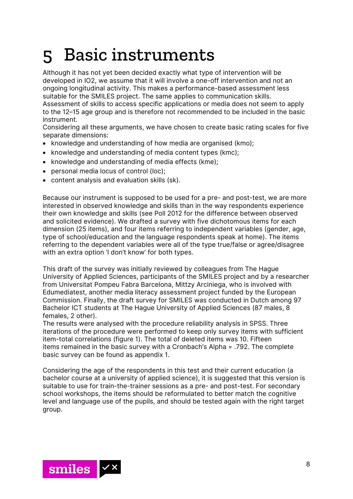## <span id="page-8-0"></span>5 Basic instruments

Although it has not yet been decided exactly what type of intervention will be developed in IO2, we assume that it will involve a one-off intervention and not an ongoing longitudinal activity. This makes a performance-based assessment less suitable for the SMILES project. The same applies to communication skills. Assessment of skills to access specific applications or media does not seem to apply to the 12–15 age group and is therefore not recommended to be included in the basic instrument.

Considering all these arguments, we have chosen to create basic rating scales for five separate dimensions:

- knowledge and understanding of how media are organised (kmo);
- knowledge and understanding of media content types (kmc);
- knowledge and understanding of media effects (kme);
- personal media locus of control (loc);
- content analysis and evaluation skills (sk).

Because our instrument is supposed to be used for a pre- and post-test, we are more interested in observed knowledge and skills than in the way respondents experience their own knowledge and skills (see Poll 2012 for the difference between observed and solicited evidence). We drafted a survey with five dichotomous items for each dimension (25 items), and four items referring to independent variables (gender, age, type of school/education and the language respondents speak at home). The items referring to the dependent variables were all of the type true/false or agree/disagree with an extra option 'I don't know' for both types.

This draft of the survey was initially reviewed by colleagues from The Hague University of Applied Sciences, participants of the SMILES project and by a researcher from Universitat Pompeu Fabra Barcelona, Mittzy Arciniega, who is involved with Edumediatest, another media literacy assessment project funded by the European Commission. Finally, the draft survey for SMILES was conducted in Dutch among 97 Bachelor ICT students at The Hague University of Applied Sciences (87 males, 8 females, 2 other).

The results were analysed with the procedure reliability analysis in SPSS. Three iterations of the procedure were performed to keep only survey items with sufficient item-total correlations (figure 1). The total of deleted items was 10. Fifteen items remained in the basic survey with a Cronbach's Alpha = .792. The complete basic survey can be found as appendix 1.

Considering the age of the respondents in this test and their current education (a bachelor course at a university of applied science), it is suggested that this version is suitable to use for train-the-trainer sessions as a pre- and post-test. For secondary school workshops, the items should be reformulated to better match the cognitive level and language use of the pupils, and should be tested again with the right target group.

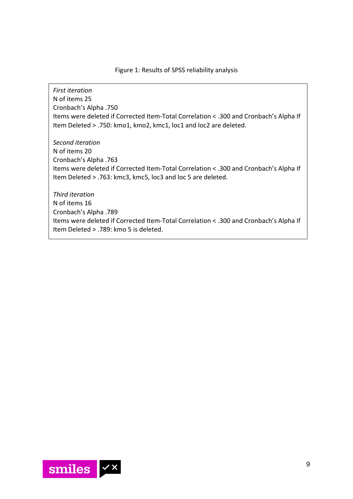#### Figure 1: Results of SPSS reliability analysis

*First iteration* N of items 25 Cronbach's Alpha .750 Items were deleted if Corrected Item-Total Correlation < .300 and Cronbach's Alpha If Item Deleted > .750: kmo1, kmo2, kmc1, loc1 and loc2 are deleted.

*Second iteration*  N of items 20 Cronbach's Alpha .763 Items were deleted if Corrected Item-Total Correlation < .300 and Cronbach's Alpha If Item Deleted > .763: kmc3, kmc5, loc3 and loc 5 are deleted.

*Third iteration*  N of items 16 Cronbach's Alpha .789 Items were deleted if Corrected Item-Total Correlation < .300 and Cronbach's Alpha If Item Deleted > .789: kmo 5 is deleted.

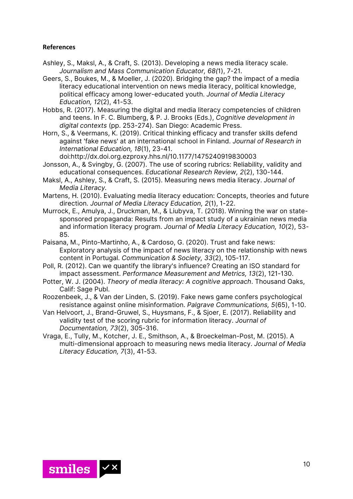### <span id="page-10-0"></span>**References**

- Ashley, S., Maksl, A., & Craft, S. (2013). Developing a news media literacy scale. *Journalism and Mass Communication Educator, 68(*1), 7-21.
- Geers, S., Boukes, M., & Moeller, J. (2020). Bridging the gap? the impact of a media literacy educational intervention on news media literacy, political knowledge, political efficacy among lower-educated youth. *Journal of Media Literacy Education, 12*(2), 41-53.
- Hobbs, R. (2017). Measuring the digital and media literacy competencies of children and teens. In F. C. Blumberg, & P. J. Brooks (Eds.), *Cognitive development in digital contexts* (pp. 253-274). San Diego: Academic Press.
- Horn, S., & Veermans, K. (2019). Critical thinking efficacy and transfer skills defend against 'fake news' at an international school in Finland. *Journal of Research in International Education, 18*(1), 23-41.
- doi[:http://dx.doi.org.ezproxy.hhs.nl/10.1177/1475240919830003](http://dx.doi.org.ezproxy.hhs.nl/10.1177/1475240919830003)  Jonsson, A., & Svingby, G. (2007). The use of scoring rubrics: Reliability, validity and educational consequences. *Educational Research Review, 2*(2), 130-144.
- Maksl, A., Ashley, S., & Craft, S. (2015). Measuring news media literacy. *Journal of Media Literacy.*
- Martens, H. (2010). Evaluating media literacy education: Concepts, theories and future direction. *Journal of Media Literacy Education, 2*(1), 1-22.
- Murrock, E., Amulya, J., Druckman, M., & Liubyva, T. (2018). Winning the war on statesponsored propaganda: Results from an impact study of a ukrainian news media and information literacy program. *Journal of Media Literacy Education, 10*(2), 53- 85.
- Paisana, M., Pinto-Martinho, A., & Cardoso, G. (2020). Trust and fake news: Exploratory analysis of the impact of news literacy on the relationship with news content in Portugal. *Communication & Society, 33*(2), 105-117.
- Poll, R. (2012). Can we quantify the library's influence? Creating an ISO standard for impact assessment. *Performance Measurement and Metrics, 13*(2), 121-130.
- Potter, W. J. (2004). *Theory of media literacy: A cognitive approach*. Thousand Oaks, Calif: Sage Publ.
- Roozenbeek, J., & Van der Linden, S. (2019). Fake news game confers psychological resistance against online misinformation. *Palgrave Communications, 5*(65), 1-10.
- Van Helvoort, J., Brand-Gruwel, S., Huysmans, F., & Sjoer, E. (2017). Reliability and validity test of the scoring rubric for information literacy. *Journal of Documentation, 73*(2), 305-316.
- Vraga, E., Tully, M., Kotcher, J. E., Smithson, A., & Broeckelman-Post, M. (2015). A multi-dimensional approach to measuring news media literacy. *Journal of Media Literacy Education, 7*(3), 41-53.

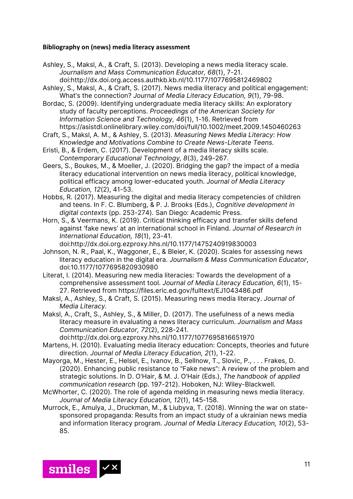#### <span id="page-11-0"></span>**Bibliography on (news) media literacy assessment**

Ashley, S., Maksl, A., & Craft, S. (2013). Developing a news media literacy scale. *Journalism and Mass Communication Educator, 68*(1), 7-21. doi[:http://dx.doi.org.access.authkb.kb.nl/10.1177/1077695812469802](http://dx.doi.org.access.authkb.kb.nl/10.1177/1077695812469802)

Ashley, S., Maksl, A., & Craft, S. (2017). News media literacy and political engagement: What's the connection? *Journal of Media Literacy Education, 9*(1), 79-98.

Bordac, S. (2009). Identifying undergraduate media literacy skills: An exploratory study of faculty perceptions. *Proceedings of the American Society for Information Science and Technology, 46*(1), 1-16. Retrieved from <https://asistdl.onlinelibrary.wiley.com/doi/full/10.1002/meet.2009.1450460263>

Craft, S., Maksl, A. M., & Ashley, S. (2013). *Measuring News Media Literacy: How Knowledge and Motivations Combine to Create News-Literate Teens.*

Eristi, B., & Erdem, C. (2017). Development of a media literacy skills scale. *Contemporary Educational Technology, 8*(3), 249-267.

Geers, S., Boukes, M., & Moeller, J. (2020). Bridging the gap? the impact of a media literacy educational intervention on news media literacy, political knowledge, political efficacy among lower-educated youth. *Journal of Media Literacy Education, 12*(2), 41-53.

- Hobbs, R. (2017). Measuring the digital and media literacy competencies of children and teens. In F. C. Blumberg, & P. J. Brooks (Eds.), *Cognitive development in digital contexts* (pp. 253-274). San Diego: Academic Press.
- Horn, S., & Veermans, K. (2019). Critical thinking efficacy and transfer skills defend against 'fake news' at an international school in Finland. *Journal of Research in International Education, 18*(1), 23-41.

doi[:http://dx.doi.org.ezproxy.hhs.nl/10.1177/1475240919830003](http://dx.doi.org.ezproxy.hhs.nl/10.1177/1475240919830003) Johnson, N. R., Paal, K., Waggoner, E., & Bleier, K. (2020). Scales for assessing news

literacy education in the digital era. *Journalism & Mass Communication Educator*, doi:10.1177/1077695820930980

Literat, I. (2014). Measuring new media literacies: Towards the development of a comprehensive assessment tool. *Journal of Media Literacy Education, 6*(1), 15- 27. Retrieved from<https://files.eric.ed.gov/fulltext/EJ1043486.pdf>

Maksl, A., Ashley, S., & Craft, S. (2015). Measuring news media literacy. *Journal of Media Literacy.*

Maksl, A., Craft, S., Ashley, S., & Miller, D. (2017). The usefulness of a news media literacy measure in evaluating a news literacy curriculum. *Journalism and Mass Communication Educator, 72*(2), 228-241.

doi[:http://dx.doi.org.ezproxy.hhs.nl/10.1177/1077695816651970](http://dx.doi.org.ezproxy.hhs.nl/10.1177/1077695816651970)

- Martens, H. (2010). Evaluating media literacy education: Concepts, theories and future direction. *Journal of Media Literacy Education, 2*(1), 1-22.
- Mayorga, M., Hester, E., Helsel, E., Ivanov, B., Sellnow, T., Slovic, P., . . . Frakes, D. (2020). Enhancing public resistance to "Fake news": A review of the problem and strategic solutions. In D. O'Hair, & M. J. O'Hair (Eds.), *The handbook of applied communication research* (pp. 197-212). Hoboken, NJ: Wiley-Blackwell.
- McWhorter, C. (2020). The role of agenda melding in measuring news media literacy. *Journal of Media Literacy Education, 12*(1), 145-158.
- Murrock, E., Amulya, J., Druckman, M., & Liubyva, T. (2018). Winning the war on statesponsored propaganda: Results from an impact study of a ukrainian news media and information literacy program. *Journal of Media Literacy Education, 10*(2), 53- 85.

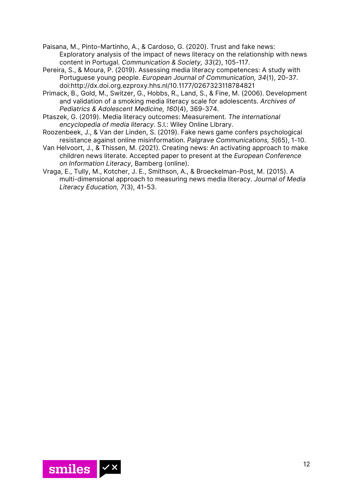- Paisana, M., Pinto-Martinho, A., & Cardoso, G. (2020). Trust and fake news: Exploratory analysis of the impact of news literacy on the relationship with news content in Portugal. *Communication & Society, 33*(2), 105-117.
- Pereira, S., & Moura, P. (2019). Assessing media literacy competences: A study with Portuguese young people. *European Journal of Communication, 34*(1), 20-37. doi[:http://dx.doi.org.ezproxy.hhs.nl/10.1177/0267323118784821](http://dx.doi.org.ezproxy.hhs.nl/10.1177/0267323118784821)
- Primack, B., Gold, M., Switzer, G., Hobbs, R., Land, S., & Fine, M. (2006). Development and validation of a smoking media literacy scale for adolescents. *Archives of Pediatrics & Adolescent Medicine, 160*(4), 369-374.
- Ptaszek, G. (2019). Media literacy outcomes: Measurement*. The international encyclopedia of media literacy*. S.l.: Wiley Online Library.
- Roozenbeek, J., & Van der Linden, S. (2019). Fake news game confers psychological resistance against online misinformation. *Palgrave Communications, 5*(65), 1-10.
- Van Helvoort, J., & Thissen, M. (2021). Creating news: An activating approach to make children news literate. Accepted paper to present at the *European Conference on Information Literacy*, Bamberg (online).
- Vraga, E., Tully, M., Kotcher, J. E., Smithson, A., & Broeckelman-Post, M. (2015). A multi-dimensional approach to measuring news media literacy. *Journal of Media Literacy Education, 7*(3), 41-53.

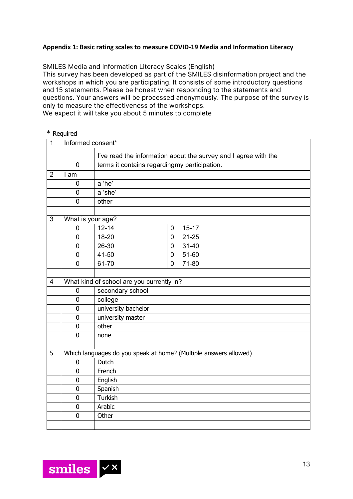### <span id="page-13-0"></span>**Appendix 1: Basic rating scales to measure COVID-19 Media and Information Literacy**

SMILES Media and Information Literacy Scales (English)

This survey has been developed as part of the SMILES disinformation project and the workshops in which you are participating. It consists of some introductory questions and 15 statements. Please be honest when responding to the statements and questions. Your answers will be processed anonymously. The purpose of the survey is only to measure the effectiveness of the workshops.

We expect it will take you about 5 minutes to complete

#### \* Required

| $\overline{1}$ | Informed consent* |                                                                 |                |                                                                  |  |  |
|----------------|-------------------|-----------------------------------------------------------------|----------------|------------------------------------------------------------------|--|--|
|                |                   | I've read the information about the survey and I agree with the |                |                                                                  |  |  |
|                | $\overline{0}$    | terms it contains regardingmy participation.                    |                |                                                                  |  |  |
| $\overline{2}$ | I am              |                                                                 |                |                                                                  |  |  |
|                | $\mathbf{0}$      | a 'he'                                                          |                |                                                                  |  |  |
|                | 0                 | a 'she'                                                         |                |                                                                  |  |  |
|                | $\overline{0}$    | other                                                           |                |                                                                  |  |  |
|                |                   |                                                                 |                |                                                                  |  |  |
| 3              |                   | What is your age?                                               |                |                                                                  |  |  |
|                | 0                 | $12 - 14$                                                       | $\mathbf 0$    | $15 - 17$                                                        |  |  |
|                | $\overline{0}$    | $18 - 20$                                                       | 0              | $21 - 25$                                                        |  |  |
|                | 0                 | $26 - 30$                                                       | $\overline{0}$ | $31 - 40$                                                        |  |  |
|                | 0                 | $41 - 50$                                                       | $\overline{0}$ | $51 - 60$                                                        |  |  |
|                | 0                 | 61-70                                                           | $\mathbf 0$    | 71-80                                                            |  |  |
|                |                   |                                                                 |                |                                                                  |  |  |
| 4              |                   | What kind of school are you currently in?                       |                |                                                                  |  |  |
|                | $\mathbf 0$       | secondary school                                                |                |                                                                  |  |  |
|                | 0                 | college                                                         |                |                                                                  |  |  |
|                | $\overline{0}$    | university bachelor                                             |                |                                                                  |  |  |
|                | $\mathbf 0$       | university master                                               |                |                                                                  |  |  |
|                | $\mathbf 0$       | other                                                           |                |                                                                  |  |  |
|                | 0                 | none                                                            |                |                                                                  |  |  |
|                |                   |                                                                 |                |                                                                  |  |  |
| 5              |                   |                                                                 |                | Which languages do you speak at home? (Multiple answers allowed) |  |  |
|                | $\mathbf 0$       | Dutch                                                           |                |                                                                  |  |  |
|                | 0                 | French                                                          |                |                                                                  |  |  |
|                | $\mathbf 0$       | English                                                         |                |                                                                  |  |  |
|                | $\mathbf 0$       | Spanish                                                         |                |                                                                  |  |  |
|                | $\overline{0}$    | <b>Turkish</b>                                                  |                |                                                                  |  |  |
|                | $\overline{0}$    | Arabic                                                          |                |                                                                  |  |  |
|                | 0                 | Other                                                           |                |                                                                  |  |  |
|                |                   |                                                                 |                |                                                                  |  |  |

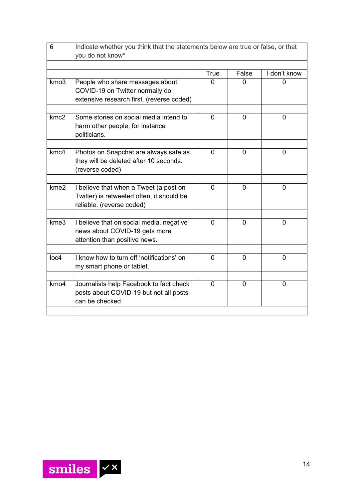| 6                | Indicate whether you think that the statements below are true or false, or that                                  |                |                |                |  |  |
|------------------|------------------------------------------------------------------------------------------------------------------|----------------|----------------|----------------|--|--|
|                  | you do not know*                                                                                                 |                |                |                |  |  |
|                  |                                                                                                                  | True           | False          | I don't know   |  |  |
| kmo3             | People who share messages about<br>COVID-19 on Twitter normally do<br>extensive research first. (reverse coded)  | O              | O              |                |  |  |
| kmc <sub>2</sub> | Some stories on social media intend to<br>harm other people, for instance<br>politicians.                        | $\overline{0}$ | $\overline{0}$ | $\mathbf{0}$   |  |  |
| kmc <sub>4</sub> | Photos on Snapchat are always safe as<br>they will be deleted after 10 seconds.<br>(reverse coded)               | $\mathbf 0$    | $\overline{0}$ | $\overline{0}$ |  |  |
|                  |                                                                                                                  |                |                |                |  |  |
| kme <sub>2</sub> | I believe that when a Tweet (a post on<br>Twitter) is retweeted often, it should be<br>reliable. (reverse coded) | $\Omega$       | $\mathbf{0}$   | $\Omega$       |  |  |
|                  |                                                                                                                  |                |                |                |  |  |
| kme3             | I believe that on social media, negative<br>news about COVID-19 gets more<br>attention than positive news.       | $\mathbf{0}$   | $\mathbf{0}$   | $\overline{0}$ |  |  |
|                  |                                                                                                                  |                |                |                |  |  |
| loc4             | I know how to turn off 'notifications' on<br>my smart phone or tablet.                                           | 0              | $\overline{0}$ | $\overline{0}$ |  |  |
|                  |                                                                                                                  | $\Omega$       |                |                |  |  |
| kmo4             | Journalists help Facebook to fact check<br>posts about COVID-19 but not all posts<br>can be checked.             |                | $\overline{0}$ | 0              |  |  |
|                  |                                                                                                                  |                |                |                |  |  |

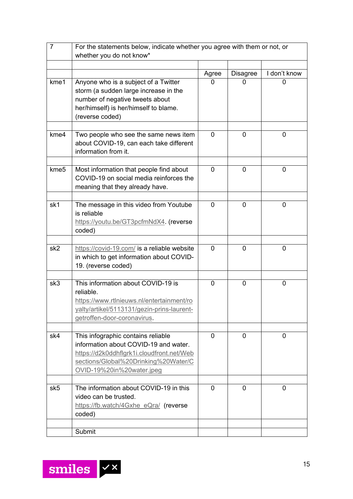| $\overline{7}$   | For the statements below, indicate whether you agree with them or not, or<br>whether you do not know*                                                                                         |              |                 |              |
|------------------|-----------------------------------------------------------------------------------------------------------------------------------------------------------------------------------------------|--------------|-----------------|--------------|
|                  |                                                                                                                                                                                               |              |                 |              |
|                  |                                                                                                                                                                                               | Agree        | <b>Disagree</b> | I don't know |
| kme1             | Anyone who is a subject of a Twitter<br>storm (a sudden large increase in the<br>number of negative tweets about<br>her/himself) is her/himself to blame.<br>(reverse coded)                  | 0            | 0               | 0            |
| kme4             | Two people who see the same news item<br>about COVID-19, can each take different<br>information from it.                                                                                      | 0            | 0               | 0            |
| kme <sub>5</sub> | Most information that people find about<br>COVID-19 on social media reinforces the<br>meaning that they already have.                                                                         | 0            | 0               | 0            |
| sk1              | The message in this video from Youtube<br>is reliable<br>https://youtu.be/GT3pcfmNdX4. (reverse<br>coded)                                                                                     | 0            | 0               | 0            |
| sk <sub>2</sub>  | https://covid-19.com/ is a reliable website<br>in which to get information about COVID-<br>19. (reverse coded)                                                                                | 0            | 0               | 0            |
| sk3              | This information about COVID-19 is<br>reliable.<br>https://www.rtlnieuws.nl/entertainment/ro<br>yalty/artikel/5113131/gezin-prins-laurent-<br>getroffen-door-coronavirus.                     | 0            | 0               | 0            |
| sk4              | This infographic contains reliable<br>information about COVID-19 and water.<br>https://d2k0ddhflgrk1i.cloudfront.net/Web<br>sections/Global%20Drinking%20Water/C<br>OVID-19%20in%20water.jpeg | 0            | 0               | 0            |
| sk5              | The information about COVID-19 in this<br>video can be trusted.<br>https://fb.watch/4Gxhe_eQra/ (reverse<br>coded)                                                                            | $\mathbf{0}$ | $\mathbf 0$     | 0            |
|                  | Submit                                                                                                                                                                                        |              |                 |              |